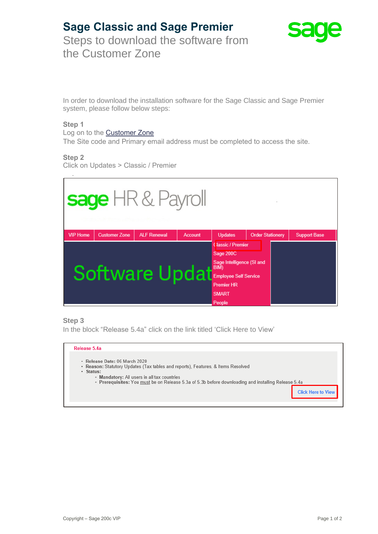# **Sage Classic and Sage Premier**



Steps to download the software from the Customer Zone

In order to download the installation software for the Sage Classic and Sage Premier system, please follow below steps:

#### **Step 1**

#### Log on to the **Customer Zone**

The Site code and Primary email address must be completed to access the site.

#### **Step 2**

Click on Updates > Classic / Premier

| <b>sage</b> HR & Payroll                                                   |                      |                    |                                   |                                |                         |                     |
|----------------------------------------------------------------------------|----------------------|--------------------|-----------------------------------|--------------------------------|-------------------------|---------------------|
| <b>VIP Home</b>                                                            | <b>Customer Zone</b> | <b>ALF Renewal</b> | Account                           | <b>Updates</b>                 | <b>Order Stationery</b> | <b>Support Base</b> |
|                                                                            |                      |                    |                                   | Classic / Premier<br>Sage 200C |                         |                     |
|                                                                            |                      |                    | Sage Intelligence (SI and<br>BIM) |                                |                         |                     |
| <b>Software Updat</b><br><b>Employee Self Service</b><br><b>Premier HR</b> |                      |                    |                                   |                                |                         |                     |
|                                                                            |                      |                    |                                   |                                |                         |                     |
| People                                                                     |                      |                    |                                   |                                |                         |                     |

## **Step 3**

In the block "Release 5.4a" click on the link titled 'Click Here to View'

#### Release 5.4a

- · Release Date: 06 March 2020
- Reason: Statutory Updates (Tax tables and reports), Features, & Items Resolved
- · Status:
	- · Mandatory: All users in all tax countries
	- · Prerequisites: You must be on Release 5.3a of 5.3b before downloading and installing Release 5.4a

**Click Here to View**